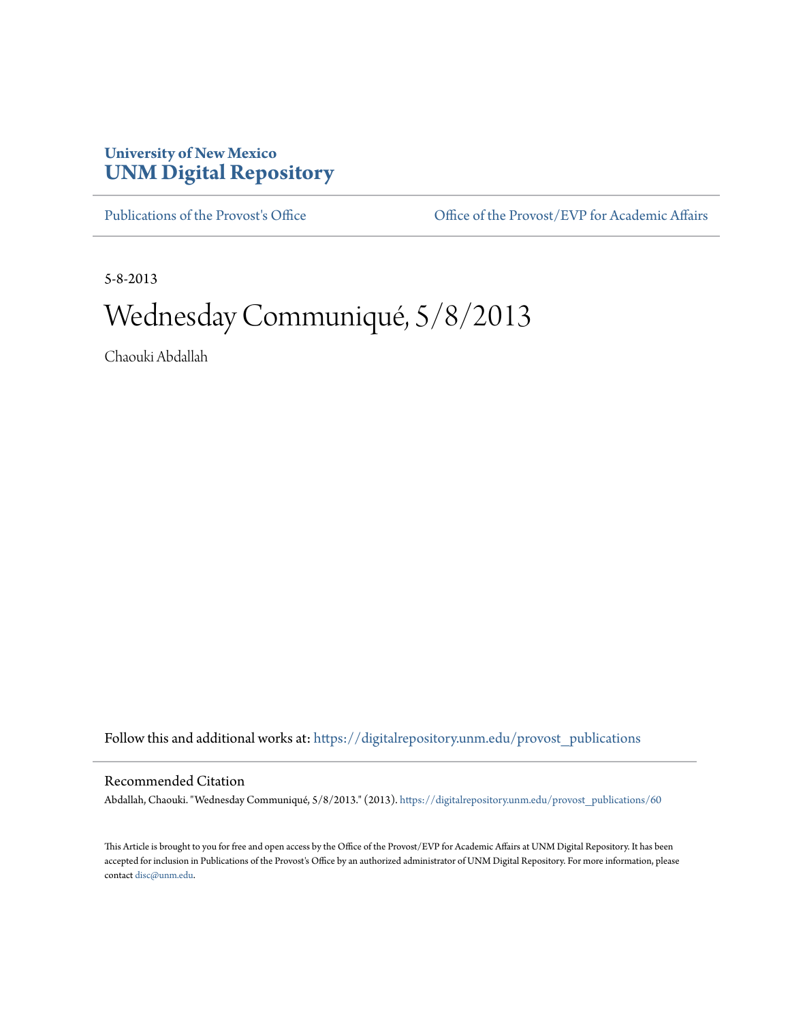## **University of New Mexico [UNM Digital Repository](https://digitalrepository.unm.edu?utm_source=digitalrepository.unm.edu%2Fprovost_publications%2F60&utm_medium=PDF&utm_campaign=PDFCoverPages)**

[Publications of the Provost's Office](https://digitalrepository.unm.edu/provost_publications?utm_source=digitalrepository.unm.edu%2Fprovost_publications%2F60&utm_medium=PDF&utm_campaign=PDFCoverPages) Office [Office of the Provost/EVP for Academic Affairs](https://digitalrepository.unm.edu/ofc_provost?utm_source=digitalrepository.unm.edu%2Fprovost_publications%2F60&utm_medium=PDF&utm_campaign=PDFCoverPages)

5-8-2013

# Wednesday Communiqué, 5/8/2013

Chaouki Abdallah

Follow this and additional works at: [https://digitalrepository.unm.edu/provost\\_publications](https://digitalrepository.unm.edu/provost_publications?utm_source=digitalrepository.unm.edu%2Fprovost_publications%2F60&utm_medium=PDF&utm_campaign=PDFCoverPages)

#### Recommended Citation

Abdallah, Chaouki. "Wednesday Communiqué, 5/8/2013." (2013). [https://digitalrepository.unm.edu/provost\\_publications/60](https://digitalrepository.unm.edu/provost_publications/60?utm_source=digitalrepository.unm.edu%2Fprovost_publications%2F60&utm_medium=PDF&utm_campaign=PDFCoverPages)

This Article is brought to you for free and open access by the Office of the Provost/EVP for Academic Affairs at UNM Digital Repository. It has been accepted for inclusion in Publications of the Provost's Office by an authorized administrator of UNM Digital Repository. For more information, please contact [disc@unm.edu.](mailto:disc@unm.edu)